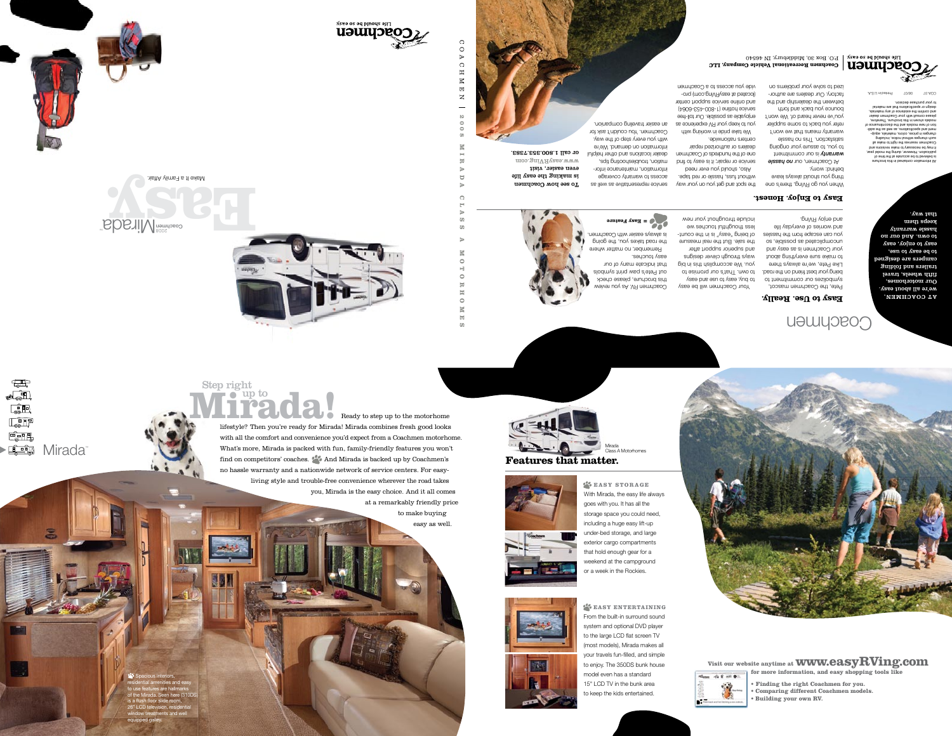



 $C$ O A

 $\Omega$ 

 $\boldsymbol{\Pi}$  $\mathbb{N}$ 

 $\boxdot$ 

 $\mathbf{z}$ 

 $\infty$ 

 $\circ$ 

 $\circ$ 

 $00$ 

 $\blacksquare$ 

눗

 $\Box$ 

 $\bigcap$ 

 $\omega$ 

 $\bullet$ 

 $\circ$ 

보

Ħ

 $\circ$ K 固

 $\omega$ 

.2887.888.008.1 Ilso To moo.gniVAyase.www tiaiv reisse neve ətil yasə ədi gnixam zi To see how Coachmen



 $\sqrt{\frac{1}{2}}$ 

 $\bullet\bullet\quad$ 

 $\begin{tabular}{|c|c|} \hline \quad \quad & \quad \quad & \quad \quad \\ \hline \quad \quad & \quad \quad & \quad \quad \\ \hline \quad \quad & \quad \quad & \quad \quad \\ \hline \quad \quad & \quad \quad & \quad \quad \\ \hline \quad \quad & \quad \quad & \quad \quad \\ \hline \quad \quad & \quad \quad & \quad \quad \\ \hline \quad \quad & \quad \quad & \quad \quad \\ \hline \quad \quad & \quad \quad & \quad \quad \\ \hline \quad \quad & \quad \quad & \quad \quad \\ \hline \quad \quad & \quad \quad & \quad \quad \\ \hline \quad \quad & \quad \quad & \quad \quad \\ \hline \quad \quad & \quad$ 

E<del>sik</del>

**E FOR Mirada** 

3

nisitA γlims∃ s tI əxlsM









**Step right** up to  $\bullet$ Ready to step up to the motorhome

lifestyle? Then you're ready for Mirada! Mirada combines fresh good looks with all the comfort and convenience you'd expect from a Coachmen motorhome. What's more, Mirada is packed with fun, family-friendly features you won't find on competitors' coaches.  $\blacktriangleright\blacklozenge$  And Mirada is backed up by Coachmen's no hassle warranty and a nationwide network of service centers. For easyliving style and trouble-free convenience wherever the road takes you, Mirada is the easy choice. And it all comes

at a remarkably friendly price to make buying easy as well.

<sup>2</sup> Spacious interiors, sidential amenities and easy to use features are hallmarks<br>of the Mirada. Seen here (310DS)<br>is a flush floor slide room, 26" LCD television, residential<br>window treatments and well<br>equipped galley.



to keep the kids entertained.

**Home - 02 E am @ 1** 



**EASY ENTERTAINING** From the built-in surround sound system and optional DVD player to the large LCD flat screen TV (most models), Mirada makes all your travels fun-filled, and simple to enjoy. The 350DS bunk house model even has a standard 15" LCD TV in the bunk area

EASY STORAGE With Mirada, the easy life always goes with you. It has all the storage space you could need, including a huge easy lift-up under-bed storage, and large exterior cargo compartments that hold enough gear for a weekend at the campground or a week in the Rockies.





**Features that matter.** 





Visit our website anytime at **WWW.easyRVing.com** 

• Finding the right Coachmen for you.

• Building your own RV.

• Comparing different Coachmen models.

for more information, and easy shopping tools like

# Coachmen

### **Easy to Use. Really.**

you can escape from the hassles

include throughout your new less thoughtful touches we of being" "vessy" is in the countthe sale. But the real measure and superior support after ways through clever designs you. We accomplish this in big to own. That's our promise to to pny, esay to use sug essy Your Coachmen will be easy

to make sure everything about Like Pete, we're always there being your best friend on the road. ot tnemtimmoo uuo eesilodmye Pete, the Coachmen mascot,

.gniVA yoine bns and worries of everyday life os , eldiezoq as betabilqmoonu your Coachmen is as easy and

Easy to Enjoy. Honest.

When you go RVing, there's one

behind: worry. thing you should always leave

reter you back to some supplier t'now ew tadt ensem vtnsnsw satisfaction. This no hassle to you, to assure your ongoing **warranty** is our commitment At Coachmen, our no hassle

you've never heard of. We won't

vide you access to a Coachmen -ong (moo.gniVAyase ts betsool) and online service support center (4000-824-008-1) eniltor eoives enioyable as possible. Our toll-free you to keep your RV experience as We take pride in working with

an easier traveling companion.

Coachmen. You couldn't ask for

with you every step of the way.

en's U. brismab no noits motri

adit pritooneelduott rioitem

access to warranty coverage

information, maintenance infor-

se llew as evitatnesengen es well as

Easy Feature

is always easier with Coachmen.

the road takes you, the going

that indicate many of our

out Pete's paw print symbols

this brochure, please check

weiven uov aA .VA nem hoo.

easy touches.

Remember, no matter where

dealer locations and other helpful

ized to solve your problems on factory. Our dealers are authorbetween the dealership and the bounce you back and forth

centers nationwide.

dealers or authorized repair

one of the hundreds of Coachmen

bring or repair; it is easy to find

Also, should you ever need

without fuss, hassle or red tape.

the spot and get you on your way

P.O. Box 30, Middlebury, IN 46540 Coachmen Recreational Vehicle Company, LLC

> that way. keeps them hassle warranty to own. And our no easy to enjoy, easy to be easy to use, campers are qezigneq trailers and folding fifth wheels, travel Our motorhomes, we're all spout easy. лямнолоо та

 $\alpha$   $\lambda$ oni brigina a gecianu design or specifications that are material and confirm the existence of any materials, blease consult with your Coachmen dealer models shown in this brochure. Therefore, to equipment work and the discountment of nent and specifications, as well as the addichanges in prices, colors, materials, equip such changes without notice, including Doachmen reserves the right to make all t may be necessary to make revisions and ublication. However, during the model year, to emit edt te be accurate at the time of All information contained in this brochure

Printed in U.S.A. **78-A00**